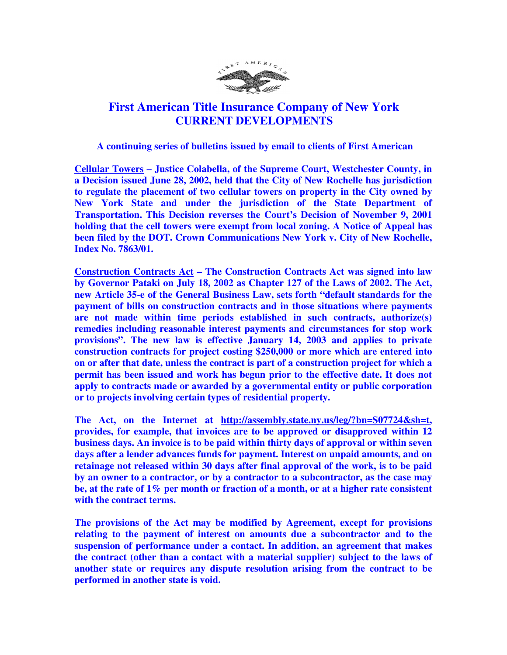

## **First American Title Insurance Company of New York CURRENT DEVELOPMENTS**

 **A continuing series of bulletins issued by email to clients of First American** 

**Cellular Towers – Justice Colabella, of the Supreme Court, Westchester County, in a Decision issued June 28, 2002, held that the City of New Rochelle has jurisdiction to regulate the placement of two cellular towers on property in the City owned by New York State and under the jurisdiction of the State Department of Transportation. This Decision reverses the Court's Decision of November 9, 2001 holding that the cell towers were exempt from local zoning. A Notice of Appeal has been filed by the DOT. Crown Communications New York v. City of New Rochelle, Index No. 7863/01.** 

**Construction Contracts Act – The Construction Contracts Act was signed into law by Governor Pataki on July 18, 2002 as Chapter 127 of the Laws of 2002. The Act, new Article 35-e of the General Business Law, sets forth "default standards for the payment of bills on construction contracts and in those situations where payments are not made within time periods established in such contracts, authorize(s) remedies including reasonable interest payments and circumstances for stop work provisions". The new law is effective January 14, 2003 and applies to private construction contracts for project costing \$250,000 or more which are entered into on or after that date, unless the contract is part of a construction project for which a permit has been issued and work has begun prior to the effective date. It does not apply to contracts made or awarded by a governmental entity or public corporation or to projects involving certain types of residential property.** 

**The Act, on the Internet at http://assembly.state.ny.us/leg/?bn=S07724&sh=t, provides, for example, that invoices are to be approved or disapproved within 12 business days. An invoice is to be paid within thirty days of approval or within seven days after a lender advances funds for payment. Interest on unpaid amounts, and on retainage not released within 30 days after final approval of the work, is to be paid by an owner to a contractor, or by a contractor to a subcontractor, as the case may be, at the rate of 1% per month or fraction of a month, or at a higher rate consistent with the contract terms.** 

**The provisions of the Act may be modified by Agreement, except for provisions relating to the payment of interest on amounts due a subcontractor and to the suspension of performance under a contact. In addition, an agreement that makes the contract (other than a contact with a material supplier) subject to the laws of another state or requires any dispute resolution arising from the contract to be performed in another state is void.**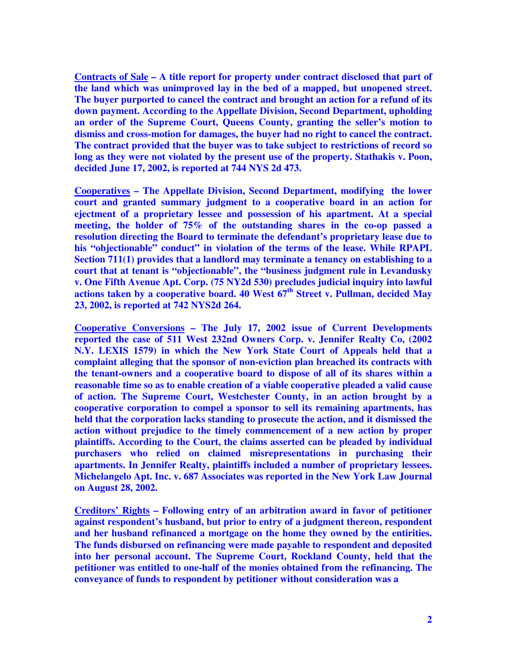**Contracts of Sale – A title report for property under contract disclosed that part of the land which was unimproved lay in the bed of a mapped, but unopened street. The buyer purported to cancel the contract and brought an action for a refund of its down payment. According to the Appellate Division, Second Department, upholding an order of the Supreme Court, Queens County, granting the seller's motion to dismiss and cross-motion for damages, the buyer had no right to cancel the contract. The contract provided that the buyer was to take subject to restrictions of record so long as they were not violated by the present use of the property. Stathakis v. Poon, decided June 17, 2002, is reported at 744 NYS 2d 473.** 

**Cooperatives – The Appellate Division, Second Department, modifying the lower court and granted summary judgment to a cooperative board in an action for ejectment of a proprietary lessee and possession of his apartment. At a special meeting, the holder of 75% of the outstanding shares in the co-op passed a resolution directing the Board to terminate the defendant's proprietary lease due to his "objectionable" conduct" in violation of the terms of the lease. While RPAPL Section 711(1) provides that a landlord may terminate a tenancy on establishing to a court that at tenant is "objectionable", the "business judgment rule in Levandusky v. One Fifth Avenue Apt. Corp. (75 NY2d 530) precludes judicial inquiry into lawful actions taken by a cooperative board. 40 West 67th Street v. Pullman, decided May 23, 2002, is reported at 742 NYS2d 264.** 

**Cooperative Conversions – The July 17, 2002 issue of Current Developments reported the case of 511 West 232nd Owners Corp. v. Jennifer Realty Co, (2002 N.Y. LEXIS 1579) in which the New York State Court of Appeals held that a complaint alleging that the sponsor of non-eviction plan breached its contracts with the tenant-owners and a cooperative board to dispose of all of its shares within a reasonable time so as to enable creation of a viable cooperative pleaded a valid cause of action. The Supreme Court, Westchester County, in an action brought by a cooperative corporation to compel a sponsor to sell its remaining apartments, has held that the corporation lacks standing to prosecute the action, and it dismissed the action without prejudice to the timely commencement of a new action by proper plaintiffs. According to the Court, the claims asserted can be pleaded by individual purchasers who relied on claimed misrepresentations in purchasing their apartments. In Jennifer Realty, plaintiffs included a number of proprietary lessees. Michelangelo Apt. Inc. v. 687 Associates was reported in the New York Law Journal on August 28, 2002.** 

**Creditors' Rights – Following entry of an arbitration award in favor of petitioner against respondent's husband, but prior to entry of a judgment thereon, respondent and her husband refinanced a mortgage on the home they owned by the entirities. The funds disbursed on refinancing were made payable to respondent and deposited into her personal account. The Supreme Court, Rockland County, held that the petitioner was entitled to one-half of the monies obtained from the refinancing. The conveyance of funds to respondent by petitioner without consideration was a**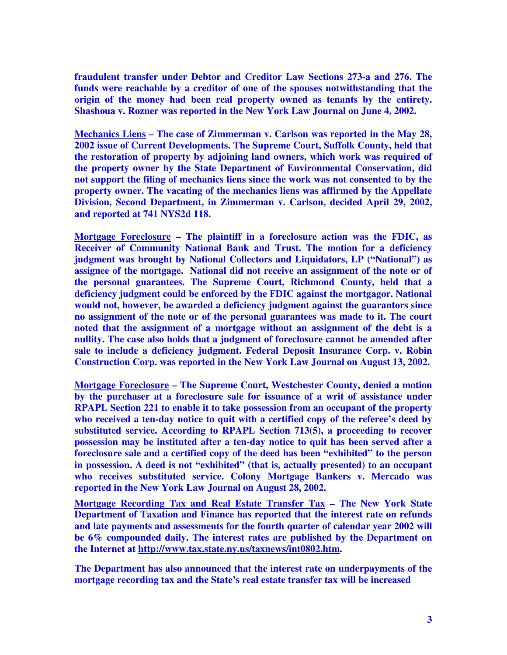**fraudulent transfer under Debtor and Creditor Law Sections 273-a and 276. The funds were reachable by a creditor of one of the spouses notwithstanding that the origin of the money had been real property owned as tenants by the entirety. Shashoua v. Rozner was reported in the New York Law Journal on June 4, 2002.** 

**Mechanics Liens – The case of Zimmerman v. Carlson was reported in the May 28, 2002 issue of Current Developments. The Supreme Court, Suffolk County, held that the restoration of property by adjoining land owners, which work was required of the property owner by the State Department of Environmental Conservation, did not support the filing of mechanics liens since the work was not consented to by the property owner. The vacating of the mechanics liens was affirmed by the Appellate Division, Second Department, in Zimmerman v. Carlson, decided April 29, 2002, and reported at 741 NYS2d 118.** 

**Mortgage Foreclosure – The plaintiff in a foreclosure action was the FDIC, as Receiver of Community National Bank and Trust. The motion for a deficiency judgment was brought by National Collectors and Liquidators, LP ("National") as assignee of the mortgage. National did not receive an assignment of the note or of the personal guarantees. The Supreme Court, Richmond County, held that a deficiency judgment could be enforced by the FDIC against the mortgagor. National would not, however, be awarded a deficiency judgment against the guarantors since no assignment of the note or of the personal guarantees was made to it. The court noted that the assignment of a mortgage without an assignment of the debt is a nullity. The case also holds that a judgment of foreclosure cannot be amended after sale to include a deficiency judgment. Federal Deposit Insurance Corp. v. Robin Construction Corp. was reported in the New York Law Journal on August 13, 2002.** 

**Mortgage Foreclosure – The Supreme Court, Westchester County, denied a motion by the purchaser at a foreclosure sale for issuance of a writ of assistance under RPAPL Section 221 to enable it to take possession from an occupant of the property who received a ten-day notice to quit with a certified copy of the referee's deed by substituted service. According to RPAPL Section 713(5), a proceeding to recover possession may be instituted after a ten-day notice to quit has been served after a foreclosure sale and a certified copy of the deed has been "exhibited" to the person in possession. A deed is not "exhibited" (that is, actually presented) to an occupant who receives substituted service. Colony Mortgage Bankers v. Mercado was reported in the New York Law Journal on August 28, 2002.** 

**Mortgage Recording Tax and Real Estate Transfer Tax – The New York State Department of Taxation and Finance has reported that the interest rate on refunds and late payments and assessments for the fourth quarter of calendar year 2002 will be 6% compounded daily. The interest rates are published by the Department on the Internet at http://www.tax.state.ny.us/taxnews/int0802.htm.** 

**The Department has also announced that the interest rate on underpayments of the mortgage recording tax and the State's real estate transfer tax will be increased**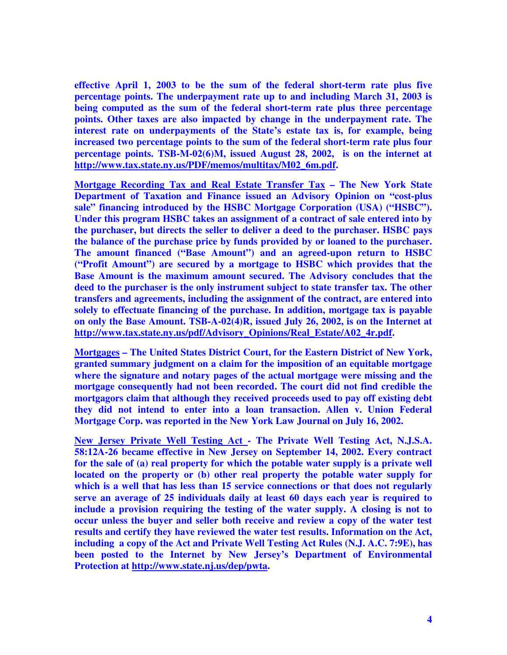**effective April 1, 2003 to be the sum of the federal short-term rate plus five percentage points. The underpayment rate up to and including March 31, 2003 is being computed as the sum of the federal short-term rate plus three percentage points. Other taxes are also impacted by change in the underpayment rate. The interest rate on underpayments of the State's estate tax is, for example, being increased two percentage points to the sum of the federal short-term rate plus four percentage points. TSB-M-02(6)M, issued August 28, 2002, is on the internet at http://www.tax.state.ny.us/PDF/memos/multitax/M02\_6m.pdf.** 

**Mortgage Recording Tax and Real Estate Transfer Tax – The New York State Department of Taxation and Finance issued an Advisory Opinion on "cost-plus sale" financing introduced by the HSBC Mortgage Corporation (USA) ("HSBC"). Under this program HSBC takes an assignment of a contract of sale entered into by the purchaser, but directs the seller to deliver a deed to the purchaser. HSBC pays the balance of the purchase price by funds provided by or loaned to the purchaser. The amount financed ("Base Amount") and an agreed-upon return to HSBC ("Profit Amount") are secured by a mortgage to HSBC which provides that the Base Amount is the maximum amount secured. The Advisory concludes that the deed to the purchaser is the only instrument subject to state transfer tax. The other transfers and agreements, including the assignment of the contract, are entered into solely to effectuate financing of the purchase. In addition, mortgage tax is payable on only the Base Amount. TSB-A-02(4)R, issued July 26, 2002, is on the Internet at http://www.tax.state.ny.us/pdf/Advisory\_Opinions/Real\_Estate/A02\_4r.pdf.** 

**Mortgages – The United States District Court, for the Eastern District of New York, granted summary judgment on a claim for the imposition of an equitable mortgage where the signature and notary pages of the actual mortgage were missing and the mortgage consequently had not been recorded. The court did not find credible the mortgagors claim that although they received proceeds used to pay off existing debt they did not intend to enter into a loan transaction. Allen v. Union Federal Mortgage Corp. was reported in the New York Law Journal on July 16, 2002.** 

**New Jersey Private Well Testing Act - The Private Well Testing Act, N.J.S.A. 58:12A-26 became effective in New Jersey on September 14, 2002. Every contract for the sale of (a) real property for which the potable water supply is a private well located on the property or (b) other real property the potable water supply for**  which is a well that has less than 15 service connections or that does not regularly **serve an average of 25 individuals daily at least 60 days each year is required to include a provision requiring the testing of the water supply. A closing is not to occur unless the buyer and seller both receive and review a copy of the water test results and certify they have reviewed the water test results. Information on the Act, including a copy of the Act and Private Well Testing Act Rules (N.J. A.C. 7:9E), has been posted to the Internet by New Jersey's Department of Environmental Protection at http://www.state.nj.us/dep/pwta.**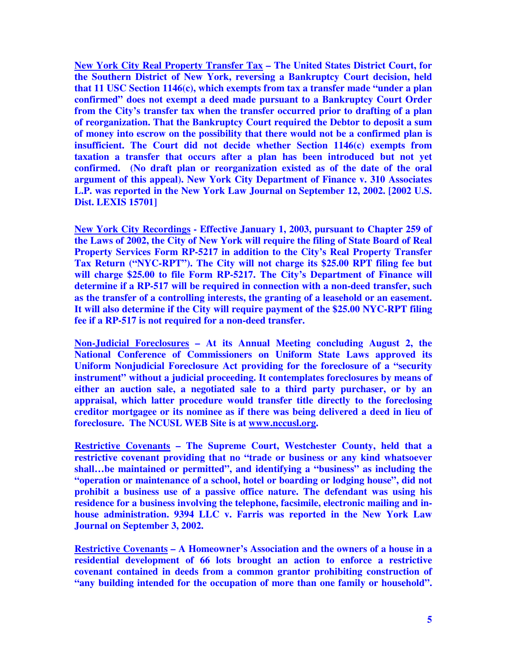**New York City Real Property Transfer Tax – The United States District Court, for the Southern District of New York, reversing a Bankruptcy Court decision, held that 11 USC Section 1146(c), which exempts from tax a transfer made "under a plan confirmed" does not exempt a deed made pursuant to a Bankruptcy Court Order from the City's transfer tax when the transfer occurred prior to drafting of a plan of reorganization. That the Bankruptcy Court required the Debtor to deposit a sum of money into escrow on the possibility that there would not be a confirmed plan is insufficient. The Court did not decide whether Section 1146(c) exempts from taxation a transfer that occurs after a plan has been introduced but not yet confirmed. (No draft plan or reorganization existed as of the date of the oral argument of this appeal). New York City Department of Finance v. 310 Associates L.P. was reported in the New York Law Journal on September 12, 2002. [2002 U.S. Dist. LEXIS 15701]** 

**New York City Recordings - Effective January 1, 2003, pursuant to Chapter 259 of the Laws of 2002, the City of New York will require the filing of State Board of Real Property Services Form RP-5217 in addition to the City's Real Property Transfer Tax Return ("NYC-RPT"). The City will not charge its \$25.00 RPT filing fee but will charge \$25.00 to file Form RP-5217. The City's Department of Finance will determine if a RP-517 will be required in connection with a non-deed transfer, such as the transfer of a controlling interests, the granting of a leasehold or an easement. It will also determine if the City will require payment of the \$25.00 NYC-RPT filing fee if a RP-517 is not required for a non-deed transfer.** 

**Non-Judicial Foreclosures – At its Annual Meeting concluding August 2, the National Conference of Commissioners on Uniform State Laws approved its Uniform Nonjudicial Foreclosure Act providing for the foreclosure of a "security instrument" without a judicial proceeding. It contemplates foreclosures by means of either an auction sale, a negotiated sale to a third party purchaser, or by an appraisal, which latter procedure would transfer title directly to the foreclosing creditor mortgagee or its nominee as if there was being delivered a deed in lieu of foreclosure. The NCUSL WEB Site is at www.nccusl.org.** 

**Restrictive Covenants – The Supreme Court, Westchester County, held that a restrictive covenant providing that no "trade or business or any kind whatsoever shall…be maintained or permitted", and identifying a "business" as including the "operation or maintenance of a school, hotel or boarding or lodging house", did not prohibit a business use of a passive office nature. The defendant was using his residence for a business involving the telephone, facsimile, electronic mailing and inhouse administration. 9394 LLC v. Farris was reported in the New York Law Journal on September 3, 2002.** 

**Restrictive Covenants – A Homeowner's Association and the owners of a house in a residential development of 66 lots brought an action to enforce a restrictive covenant contained in deeds from a common grantor prohibiting construction of "any building intended for the occupation of more than one family or household".**